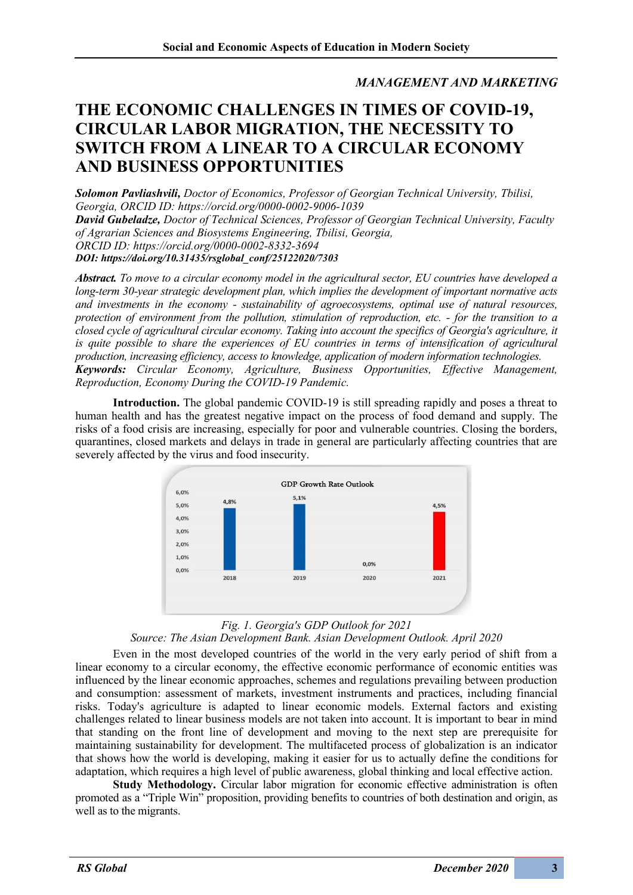*MANAGEMENT AND MARKETING*

## **THE ECONOMIC CHALLENGES IN TIMES OF COVID-19, CIRCULAR LABOR MIGRATION, THE NECESSITY TO SWITCH FROM A LINEAR TO A CIRCULAR ECONOMY AND BUSINESS OPPORTUNITIES**

*Solomon Pavliashvili, Doctor of Economics, Professor of Georgian Technical University, Tbilisi, Georgia, ORCID ID: https://orcid.org/0000-0002-9006-1039 David Gubeladze, Doctor of Technical Sciences, Professor of Georgian Technical University, Faculty* 

*of Agrarian Sciences and Biosystems Engineering, Tbilisi, Georgia,*

*ORCID ID: https://orcid.org/0000-0002-8332-3694*

*DOI: https://doi.org/10.31435/rsglobal\_conf/25122020/7303*

*Abstract. To move to a circular economy model in the agricultural sector, EU countries have developed a long-term 30-year strategic development plan, which implies the development of important normative acts and investments in the economy - sustainability of agroecosystems, optimal use of natural resources, protection of environment from the pollution, stimulation of reproduction, etc. - for the transition to a closed cycle of agricultural circular economy. Taking into account the specifics of Georgia's agriculture, it is quite possible to share the experiences of EU countries in terms of intensification of agricultural production, increasing efficiency, access to knowledge, application of modern information technologies. Keywords: Circular Economy, Agriculture, Business Opportunities, Effective Management, Reproduction, Economy During the COVID-19 Pandemic.*

**Introduction.** The global pandemic COVID-19 is still spreading rapidly and poses a threat to human health and has the greatest negative impact on the process of food demand and supply. The risks of a food crisis are increasing, especially for poor and vulnerable countries. Closing the borders, quarantines, closed markets and delays in trade in general are particularly affecting countries that are severely affected by the virus and food insecurity.



## *Fig. 1. Georgia's GDP Outlook for 2021*

*Source: The Asian Development Bank. Asian Development Outlook. April 2020*

Even in the most developed countries of the world in the very early period of shift from a linear economy to a circular economy, the effective economic performance of economic entities was influenced by the linear economic approaches, schemes and regulations prevailing between production and consumption: assessment of markets, investment instruments and practices, including financial risks. Today's agriculture is adapted to linear economic models. External factors and existing challenges related to linear business models are not taken into account. It is important to bear in mind that standing on the front line of development and moving to the next step are prerequisite for maintaining sustainability for development. The multifaceted process of globalization is an indicator that shows how the world is developing, making it easier for us to actually define the conditions for adaptation, which requires a high level of public awareness, global thinking and local effective action.

**Study Methodology.** Circular labor migration for economic effective administration is often promoted as a "Triple Win" proposition, providing benefits to countries of both destination and origin, as well as to the migrants.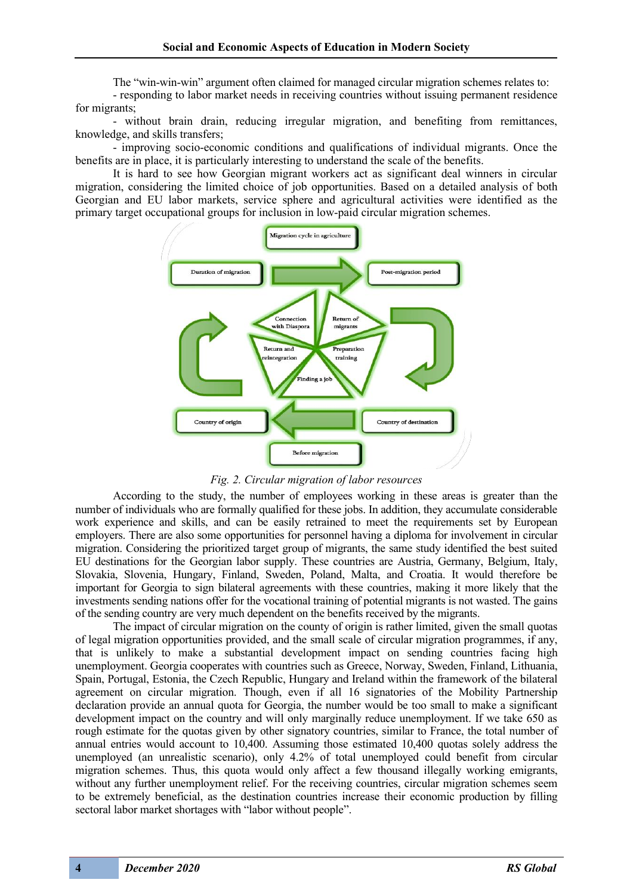The "win-win-win" argument often claimed for managed circular migration schemes relates to:

- responding to labor market needs in receiving countries without issuing permanent residence for migrants;

- without brain drain, reducing irregular migration, and benefiting from remittances, knowledge, and skills transfers;

- improving socio-economic conditions and qualifications of individual migrants. Once the benefits are in place, it is particularly interesting to understand the scale of the benefits.

It is hard to see how Georgian migrant workers act as significant deal winners in circular migration, considering the limited choice of job opportunities. Based on a detailed analysis of both Georgian and EU labor markets, service sphere and agricultural activities were identified as the primary target occupational groups for inclusion in low-paid circular migration schemes.



*Fig. 2. Circular migration of labor resources*

According to the study, the number of employees working in these areas is greater than the number of individuals who are formally qualified for these jobs. In addition, they accumulate considerable work experience and skills, and can be easily retrained to meet the requirements set by European employers. There are also some opportunities for personnel having a diploma for involvement in circular migration. Considering the prioritized target group of migrants, the same study identified the best suited EU destinations for the Georgian labor supply. These countries are Austria, Germany, Belgium, Italy, Slovakia, Slovenia, Hungary, Finland, Sweden, Poland, Malta, and Croatia. It would therefore be important for Georgia to sign bilateral agreements with these countries, making it more likely that the investments sending nations offer for the vocational training of potential migrants is not wasted. The gains of the sending country are very much dependent on the benefits received by the migrants.

The impact of circular migration on the county of origin is rather limited, given the small quotas of legal migration opportunities provided, and the small scale of circular migration programmes, if any, that is unlikely to make a substantial development impact on sending countries facing high unemployment. Georgia cooperates with countries such as Greece, Norway, Sweden, Finland, Lithuania, Spain, Portugal, Estonia, the Czech Republic, Hungary and Ireland within the framework of the bilateral agreement on circular migration. Though, even if all 16 signatories of the Mobility Partnership declaration provide an annual quota for Georgia, the number would be too small to make a significant development impact on the country and will only marginally reduce unemployment. If we take 650 as rough estimate for the quotas given by other signatory countries, similar to France, the total number of annual entries would account to 10,400. Assuming those estimated 10,400 quotas solely address the unemployed (an unrealistic scenario), only 4.2% of total unemployed could benefit from circular migration schemes. Thus, this quota would only affect a few thousand illegally working emigrants, without any further unemployment relief. For the receiving countries, circular migration schemes seem to be extremely beneficial, as the destination countries increase their economic production by filling sectoral labor market shortages with "labor without people".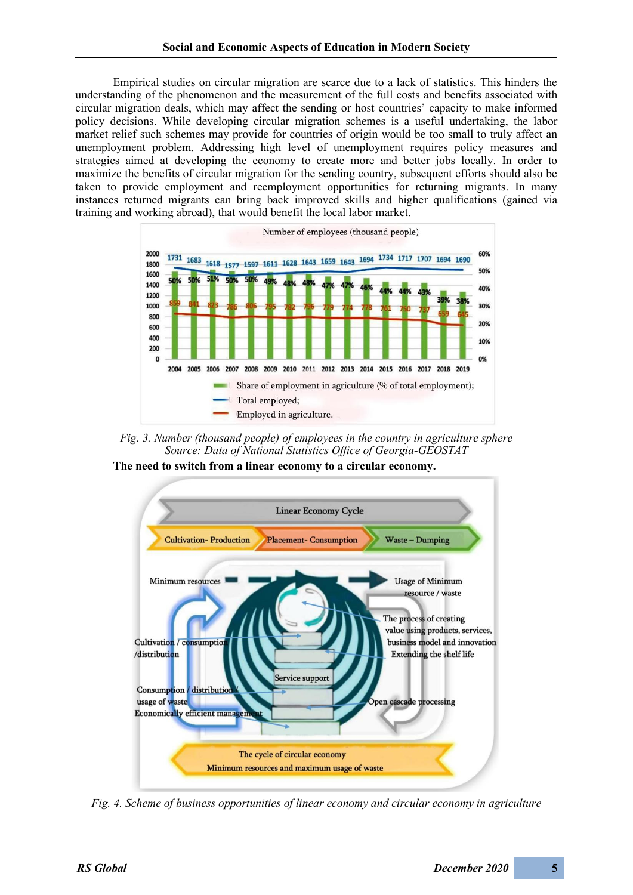Empirical studies on circular migration are scarce due to a lack of statistics. This hinders the understanding of the phenomenon and the measurement of the full costs and benefits associated with circular migration deals, which may affect the sending or host countries' capacity to make informed policy decisions. While developing circular migration schemes is a useful undertaking, the labor market relief such schemes may provide for countries of origin would be too small to truly affect an unemployment problem. Addressing high level of unemployment requires policy measures and strategies aimed at developing the economy to create more and better jobs locally. In order to maximize the benefits of circular migration for the sending country, subsequent efforts should also be taken to provide employment and reemployment opportunities for returning migrants. In many instances returned migrants can bring back improved skills and higher qualifications (gained via training and working abroad), that would benefit the local labor market.



*Fig. 3. Number (thousand people) of employees in the country in agriculture sphere Source: Data of National Statistics Office of Georgia-GEOSTAT*

**The need to switch from a linear economy to a circular economy.**



*Fig. 4. Scheme of business opportunities of linear economy and circular economy in agriculture*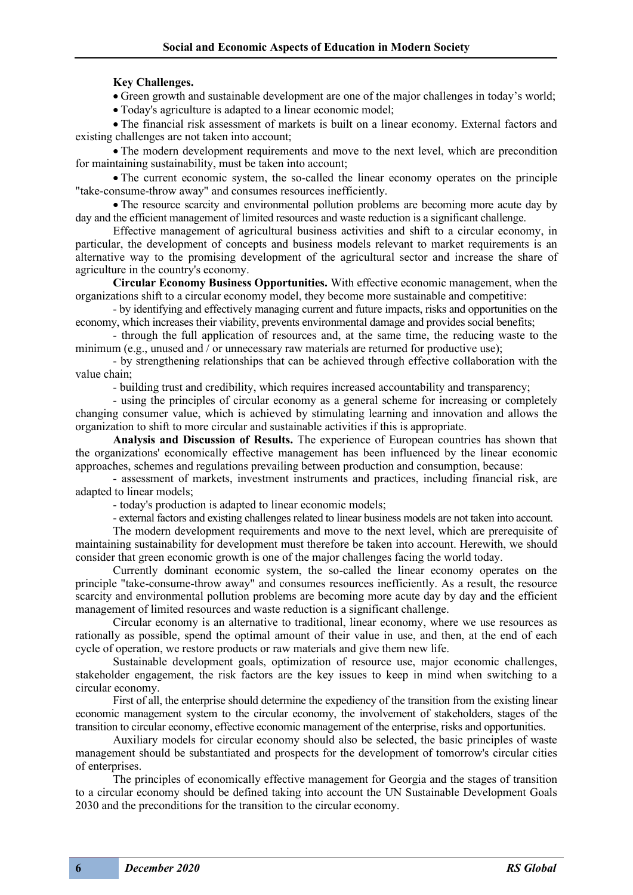## **Key Challenges.**

• Green growth and sustainable development are one of the major challenges in today's world;

• Today's agriculture is adapted to a linear economic model;

• The financial risk assessment of markets is built on a linear economy. External factors and existing challenges are not taken into account;

• The modern development requirements and move to the next level, which are precondition for maintaining sustainability, must be taken into account;

• The current economic system, the so-called the linear economy operates on the principle "take-consume-throw away" and consumes resources inefficiently.

• The resource scarcity and environmental pollution problems are becoming more acute day by day and the efficient management of limited resources and waste reduction is a significant challenge.

Effective management of agricultural business activities and shift to a circular economy, in particular, the development of concepts and business models relevant to market requirements is an alternative way to the promising development of the agricultural sector and increase the share of agriculture in the country's economy.

**Circular Economy Business Opportunities.** With effective economic management, when the organizations shift to a circular economy model, they become more sustainable and competitive:

- by identifying and effectively managing current and future impacts, risks and opportunities on the economy, which increases their viability, prevents environmental damage and provides social benefits;

- through the full application of resources and, at the same time, the reducing waste to the minimum (e.g., unused and  $\overline{\ell}$  or unnecessary raw materials are returned for productive use);

- by strengthening relationships that can be achieved through effective collaboration with the value chain;

- building trust and credibility, which requires increased accountability and transparency;

- using the principles of circular economy as a general scheme for increasing or completely changing consumer value, which is achieved by stimulating learning and innovation and allows the organization to shift to more circular and sustainable activities if this is appropriate.

**Analysis and Discussion of Results.** The experience of European countries has shown that the organizations' economically effective management has been influenced by the linear economic approaches, schemes and regulations prevailing between production and consumption, because:

- assessment of markets, investment instruments and practices, including financial risk, are adapted to linear models;

- today's production is adapted to linear economic models;

- external factors and existing challenges related to linear business models are not taken into account.

The modern development requirements and move to the next level, which are prerequisite of maintaining sustainability for development must therefore be taken into account. Herewith, we should consider that green economic growth is one of the major challenges facing the world today.

Currently dominant economic system, the so-called the linear economy operates on the principle "take-consume-throw away" and consumes resources inefficiently. As a result, the resource scarcity and environmental pollution problems are becoming more acute day by day and the efficient management of limited resources and waste reduction is a significant challenge.

Circular economy is an alternative to traditional, linear economy, where we use resources as rationally as possible, spend the optimal amount of their value in use, and then, at the end of each cycle of operation, we restore products or raw materials and give them new life.

Sustainable development goals, optimization of resource use, major economic challenges, stakeholder engagement, the risk factors are the key issues to keep in mind when switching to a circular economy.

First of all, the enterprise should determine the expediency of the transition from the existing linear economic management system to the circular economy, the involvement of stakeholders, stages of the transition to circular economy, effective economic management of the enterprise, risks and opportunities.

Auxiliary models for circular economy should also be selected, the basic principles of waste management should be substantiated and prospects for the development of tomorrow's circular cities of enterprises.

The principles of economically effective management for Georgia and the stages of transition to a circular economy should be defined taking into account the UN Sustainable Development Goals 2030 and the preconditions for the transition to the circular economy.